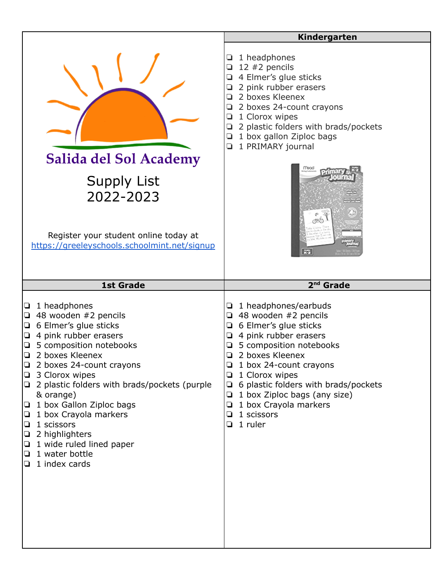|                                                                                                                                                                                                                                                                                                                                                                                                                                                                           | Kindergarten                                                                                                                                                                                                                                                                                                                                                                        |
|---------------------------------------------------------------------------------------------------------------------------------------------------------------------------------------------------------------------------------------------------------------------------------------------------------------------------------------------------------------------------------------------------------------------------------------------------------------------------|-------------------------------------------------------------------------------------------------------------------------------------------------------------------------------------------------------------------------------------------------------------------------------------------------------------------------------------------------------------------------------------|
| Salida del Sol Academy<br><b>Supply List</b><br>2022-2023<br>Register your student online today at<br>https://greeleyschools.schoolmint.net/signup                                                                                                                                                                                                                                                                                                                        | 1 headphones<br>Q.<br>12 $#2$ pencils<br>❏<br>4 Elmer's glue sticks<br>❏<br>2 pink rubber erasers<br>2 boxes Kleenex<br>o.<br>2 boxes 24-count crayons<br>❏<br>1 Clorox wipes<br>❏<br>2 plastic folders with brads/pockets<br>Q.<br>1 box gallon Ziploc bags<br>Q.<br>1 PRIMARY journal<br>$K-2$                                                                                    |
| <b>1st Grade</b>                                                                                                                                                                                                                                                                                                                                                                                                                                                          | 2 <sup>nd</sup> Grade                                                                                                                                                                                                                                                                                                                                                               |
| 1 headphones<br>❏<br>48 wooden #2 pencils<br>❏<br>6 Elmer's glue sticks<br>❏<br>4 pink rubber erasers<br>❏<br>5 composition notebooks<br>2 boxes Kleenex<br>2 boxes 24-count crayons<br>3 Clorox wipes<br>❏<br>2 plastic folders with brads/pockets (purple<br>❏<br>& orange)<br>1 box Gallon Ziploc bags<br>u<br>1 box Crayola markers<br>❏<br>1 scissors<br>❏<br>2 highlighters<br>$\Box$<br>1 wide ruled lined paper<br>⊔<br>1 water bottle<br>❏<br>1 index cards<br>⊔ | 1 headphones/earbuds<br>❏<br>48 wooden #2 pencils<br>$\Box$<br>6 Elmer's glue sticks<br>Q.<br>4 pink rubber erasers<br>❏<br>5 composition notebooks<br>2 boxes Kleenex<br>1 box 24-count crayons<br>❏<br>1 Clorox wipes<br>6 plastic folders with brads/pockets<br>$\Box$<br>1 box Ziploc bags (any size)<br>Q.<br>1 box Crayola markers<br>❏<br>1 scissors<br>Q.<br>$\Box$ 1 ruler |